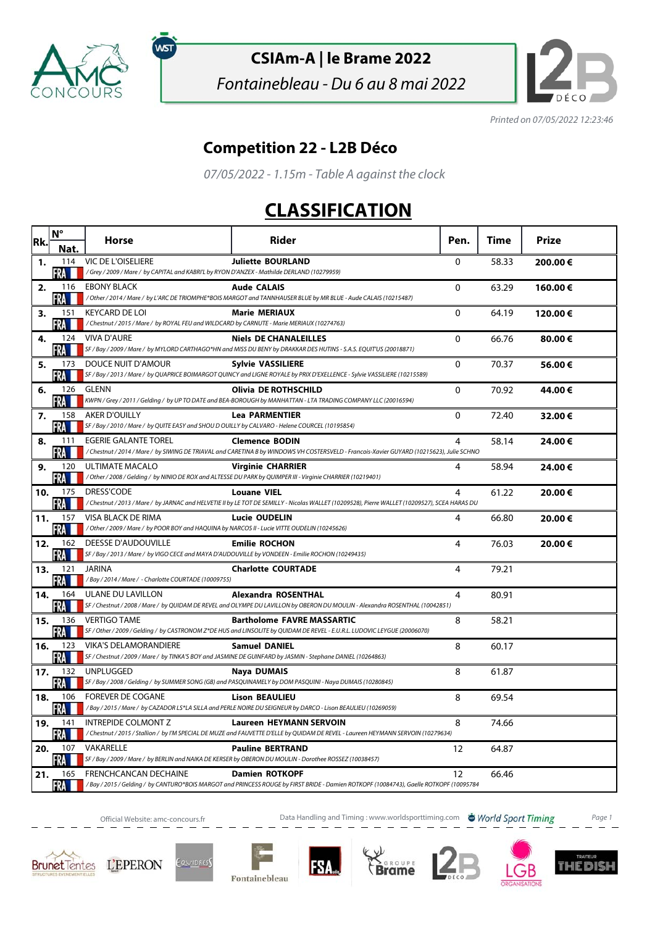

พร

## **CSIAm-A | le Brame 2022**

Fontainebleau - Du 6 au 8 mai 2022



Printed on 07/05/2022 12:23:46

## **Competition 22 - L2B Déco**

07/05/2022 - 1.15m - Table A against the clock

## **CLASSIFICATION**

| Rk. | $N^{\circ}$         | <b>Horse</b>                                                                                                             | Rider                                                                                                                                                              | Pen.         | Time  | Prize   |
|-----|---------------------|--------------------------------------------------------------------------------------------------------------------------|--------------------------------------------------------------------------------------------------------------------------------------------------------------------|--------------|-------|---------|
| 1.  | Nat<br>114<br>RA II | <b>VIC DE L'OISELIERE</b><br>/Grey / 2009 / Mare / by CAPITAL and KABRI'L by RYON D'ANZEX - Mathilde DERLAND (10279959)  | <b>Juliette BOURLAND</b>                                                                                                                                           | 0            | 58.33 | 200.00€ |
| 2.  | 116<br>FRA          | <b>EBONY BLACK</b>                                                                                                       | <b>Aude CALAIS</b><br>/Other/2014/Mare/ by L'ARC DE TRIOMPHE*BOIS MARGOT and TANNHAUSER BLUE by MR BLUE - Aude CALAIS (10215487)                                   | $\mathbf{0}$ | 63.29 | 160.00€ |
| 3.  | 151<br>RA           | <b>KEYCARD DE LOI</b><br>/Chestnut / 2015 / Mare / by ROYAL FEU and WILDCARD by CARNUTE - Marie MERIAUX (10274763)       | <b>Marie MERIAUX</b>                                                                                                                                               | 0            | 64.19 | 120.00€ |
| 4.  | 124<br>FRA I        | <b>VIVA D'AURE</b>                                                                                                       | <b>Niels DE CHANALEILLES</b><br>SF / Bay / 2009 / Mare / by MYLORD CARTHAGO*HN and MISS DU BENY by DRAKKAR DES HUTINS - S.A.S. EQUIT'US (20018871)                 | $\mathbf 0$  | 66.76 | 80.00€  |
| 5.  | 173<br>FRA III      | DOUCE NUIT D'AMOUR                                                                                                       | <b>Sylvie VASSILIERE</b><br>SF / Bay / 2013 / Mare / by QUAPRICE BOIMARGOT QUINCY and LIGNE ROYALE by PRIX D'EXELLENCE - Sylvie VASSILIERE (10215589)              | 0            | 70.37 | 56.00€  |
| 6.  | 126<br>FRA          | GLENN                                                                                                                    | <b>Olivia DE ROTHSCHILD</b><br>KWPN / Grey / 2011 / Gelding / by UP TO DATE and BEA-BOROUGH by MANHATTAN - LTA TRADING COMPANY LLC (20016594)                      | $\mathbf{0}$ | 70.92 | 44.00€  |
| 7.  | 158<br>FRA          | <b>AKER D'OUILLY</b><br>SF / Bay / 2010 / Mare / by QUITE EASY and SHOU D OUILLY by CALVARO - Helene COURCEL (10195854)  | <b>Lea PARMENTIER</b>                                                                                                                                              | $\Omega$     | 72.40 | 32.00€  |
| 8.  | 111<br>FRA I I      | <b>EGERIE GALANTE TOREL</b>                                                                                              | <b>Clemence BODIN</b><br>/ Chestnut / 2014 / Mare / by SIWING DE TRIAVAL and CARETINA B by WINDOWS VH COSTERSVELD - Francois-Xavier GUYARD (10215623), Julie SCHNO | 4            | 58.14 | 24.00€  |
| 9.  | 120<br>FRA M        | ULTIMATE MACALO                                                                                                          | <b>Virginie CHARRIER</b><br>/ Other / 2008 / Gelding / by NINIO DE ROX and ALTESSE DU PARK by QUIMPER III - Virginie CHARRIER (10219401)                           | 4            | 58.94 | 24.00€  |
| 10. | 175<br>FRA          | <b>DRESS'CODE</b>                                                                                                        | <b>Louane VIEL</b><br>/Chestnut/2013/Mare/ by JARNAC and HELVETIE II by LE TOT DE SEMILLY - Nicolas WALLET (10209528), Pierre WALLET (10209527), SCEA HARAS DU     | 4            | 61.22 | 20.00€  |
| 11. | 157<br><b>FRA</b>   | VISA BLACK DE RIMA<br>/ Other / 2009 / Mare / by POOR BOY and HAQUINA by NARCOS II - Lucie VITTE OUDELIN (10245626)      | <b>Lucie OUDELIN</b>                                                                                                                                               | 4            | 66.80 | 20.00€  |
| 12. | 162<br>FRA          | DEESSE D'AUDOUVILLE<br>SF / Bay / 2013 / Mare / by VIGO CECE and MAYA D'AUDOUVILLE by VONDEEN - Emilie ROCHON (10249435) | <b>Emilie ROCHON</b>                                                                                                                                               | 4            | 76.03 | 20.00€  |
| 13. | 121<br>FRA          | JARINA<br>/ Bay / 2014 / Mare / - Charlotte COURTADE (10009755)                                                          | <b>Charlotte COURTADE</b>                                                                                                                                          | 4            | 79.21 |         |
| 14. | 164<br>-RA III      | ULANE DU LAVILLON                                                                                                        | <b>Alexandra ROSENTHAL</b><br>SF / Chestnut / 2008 / Mare / by QUIDAM DE REVEL and OLYMPE DU LAVILLON by OBERON DU MOULIN - Alexandra ROSENTHAL (10042851)         | 4            | 80.91 |         |
| 15. | 136<br>FRA <b>H</b> | <b>VERTIGO TAME</b>                                                                                                      | <b>Bartholome FAVRE MASSARTIC</b><br>SF / Other / 2009 / Gelding / by CASTRONOM Z*DE HUS and LINSOLITE by QUIDAM DE REVEL - E.U.R.L. LUDOVIC LEYGUE (20006070)     | 8            | 58.21 |         |
| 16. | 123<br>FRA          | <b>VIKA'S DELAMORANDIERE</b>                                                                                             | <b>Samuel DANIEL</b><br>SF / Chestnut / 2009 / Mare / by TINKA'S BOY and JASMINE DE GUINFARD by JASMIN - Stephane DANIEL (10264863)                                | 8            | 60.17 |         |
| 17. | 132<br>FRA M        | UNPLUGGED                                                                                                                | <b>Naya DUMAIS</b><br>SF / Bay / 2008 / Gelding / by SUMMER SONG (GB) and PASQUINAMELY by DOM PASQUINI - Naya DUMAIS (10280845)                                    | 8            | 61.87 |         |
| 18. | 106<br>FRA I        | <b>FOREVER DE COGANE</b>                                                                                                 | <b>Lison BEAULIEU</b><br>/Bay / 2015 / Mare / by CAZADOR LS*LA SILLA and PERLE NOIRE DU SEIGNEUR by DARCO - Lison BEAULIEU (10269059)                              | 8            | 69.54 |         |
| 19. | 141<br>FRA          | <b>INTREPIDE COLMONT Z</b>                                                                                               | Laureen HEYMANN SERVOIN<br>/Chestnut/2015/Stallion/ by I'M SPECIAL DE MUZE and FAUVETTE D'ELLE by QUIDAM DE REVEL - Laureen HEYMANN SERVOIN (10279634)             | 8            | 74.66 |         |
| 20. | 107<br>FRA          | VAKARELLE                                                                                                                | <b>Pauline BERTRAND</b><br>SF / Bay / 2009 / Mare / by BERLIN and NAIKA DE KERSER by OBERON DU MOULIN - Dorothee ROSSEZ (10038457)                                 | 12           | 64.87 |         |
| 21. | 165<br><b>FRA</b>   | <b>FRENCHCANCAN DECHAINE</b>                                                                                             | <b>Damien ROTKOPF</b><br>/Bay / 2015 / Gelding / by CANTURO*BOIS MARGOT and PRINCESS ROUGE by FIRST BRIDE - Damien ROTKOPF (10084743), Gaelle ROTKOPF (10095784    | 12           | 66.46 |         |

Official Website: amc-concours.fr **Data Handling and Timing : www.worldsporttiming.com World Sport Timing** Page 1









FS.